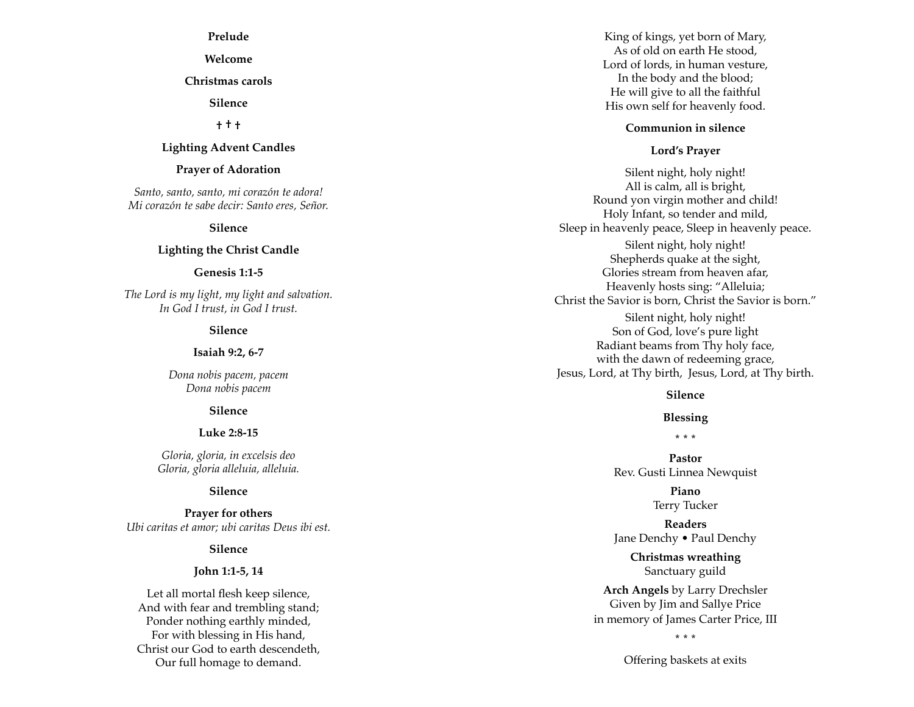**Prelude**

**Welcome**

**Christmas carols**

**Silence**

**† † †** 

## **Lighting Advent Candles**

#### **Prayer of Adoration**

*Santo, santo, santo, mi corazón te adora! Mi corazón te sabe decir: Santo eres, Señor.*

#### **Silence**

#### **Lighting the Christ Candle**

#### **Genesis 1:1-5**

*The Lord is my light, my light and salvation. In God I trust, in God I trust.*

## **Silence**

#### **Isaiah 9:2, 6-7**

*Dona nobis pacem, pacem Dona nobis pacem*

#### **Silence**

#### **Luke 2:8-15**

*Gloria, gloria, in excelsis deo Gloria, gloria alleluia, alleluia.*

#### **Silence**

**Prayer for others** *Ubi caritas et amor; ubi caritas Deus ibi est.*

### **Silence**

#### **John 1:1-5, 14**

Let all mortal flesh keep silence, And with fear and trembling stand; Ponder nothing earthly minded, For with blessing in His hand, Christ our God to earth descendeth, Our full homage to demand.

King of kings, yet born of Mary, As of old on earth He stood, Lord of lords, in human vesture, In the body and the blood; He will give to all the faithful His own self for heavenly food.

## **Communion in silence**

## **Lord's Prayer**

Silent night, holy night! All is calm, all is bright, Round yon virgin mother and child! Holy Infant, so tender and mild, Sleep in heavenly peace, Sleep in heavenly peace. Silent night, holy night! Shepherds quake at the sight, Glories stream from heaven afar, Heavenly hosts sing: "Alleluia; Christ the Savior is born, Christ the Savior is born." Silent night, holy night! Son of God, love's pure light Radiant beams from Thy holy face, with the dawn of redeeming grace, Jesus, Lord, at Thy birth, Jesus, Lord, at Thy birth.

## **Silence**

## **Blessing**

**\* \* \***

**Pastor** Rev. Gusti Linnea Newquist

> **Piano** Terry Tucker

**Readers** Jane Denchy • Paul Denchy

> **Christmas wreathing** Sanctuary guild

**Arch Angels** by Larry Drechsler Given by Jim and Sallye Price in memory of James Carter Price, III

**\* \* \***

Offering baskets at exits